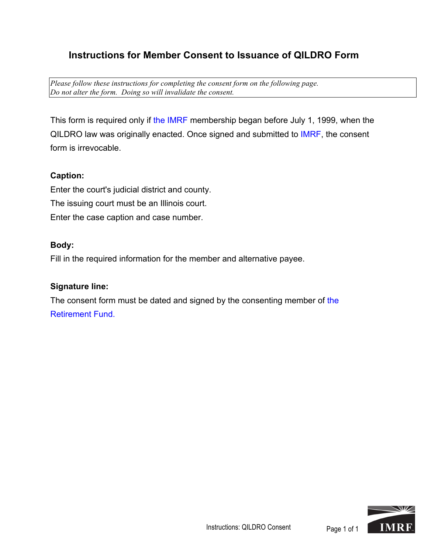## **Instructions for Member Consent to Issuance of QILDRO Form**

*Please follow these instructions for completing the consent form on the following page. Do not alter the form. Doing so will invalidate the consent.*

This form is required only if the IMRF membership began before July 1, 1999, when the QILDRO law was originally enacted. Once signed and submitted to IMRF, the consent form is irrevocable.

## **Caption:**

Enter the court's judicial district and county. The issuing court must be an Illinois court. Enter the case caption and case number.

## **Body:**

Fill in the required information for the member and alternative payee.

## **Signature line:**

The consent form must be dated and signed by the consenting member of the Retirement Fund.